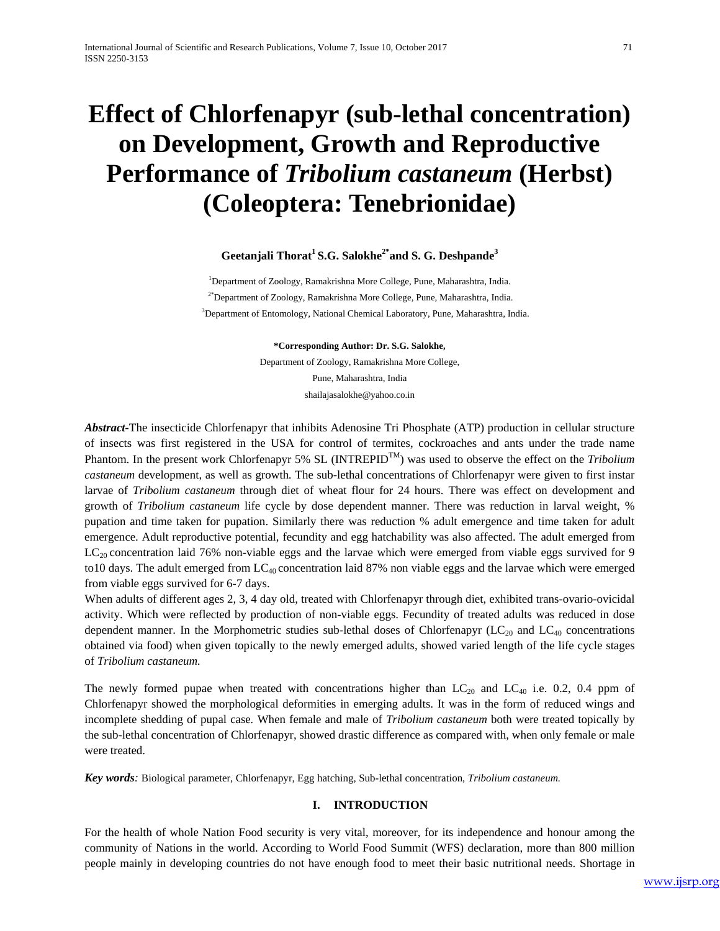# **Effect of Chlorfenapyr (sub-lethal concentration) on Development, Growth and Reproductive Performance of** *Tribolium castaneum* **(Herbst) (Coleoptera: Tenebrionidae)**

**Geetanjali Thorat<sup>1</sup> S.G. Salokhe2\* and S. G. Deshpande3**

<sup>1</sup>Department of Zoology, Ramakrishna More College, Pune, Maharashtra, India. <sup>2\*</sup>Department of Zoology, Ramakrishna More College, Pune, Maharashtra, India. <sup>3</sup>Department of Entomology, National Chemical Laboratory, Pune, Maharashtra, India.

**\*Corresponding Author: Dr. S.G. Salokhe,**

Department of Zoology, Ramakrishna More College, Pune, Maharashtra, India shailajasalokhe@yahoo.co.in

*Abstract-*The insecticide Chlorfenapyr that inhibits Adenosine Tri Phosphate (ATP) production in cellular structure of insects was first registered in the USA for control of termites, cockroaches and ants under the trade name Phantom. In the present work Chlorfenapyr 5% SL (INTREPID<sup>TM</sup>) was used to observe the effect on the *Tribolium castaneum* development, as well as growth*.* The sub-lethal concentrations of Chlorfenapyr were given to first instar larvae of *Tribolium castaneum* through diet of wheat flour for 24 hours. There was effect on development and growth of *Tribolium castaneum* life cycle by dose dependent manner. There was reduction in larval weight, % pupation and time taken for pupation. Similarly there was reduction % adult emergence and time taken for adult emergence. Adult reproductive potential, fecundity and egg hatchability was also affected. The adult emerged from  $LC_{20}$  concentration laid 76% non-viable eggs and the larvae which were emerged from viable eggs survived for 9 to10 days. The adult emerged from  $LC_{40}$  concentration laid 87% non viable eggs and the larvae which were emerged from viable eggs survived for 6-7 days.

When adults of different ages 2, 3, 4 day old, treated with Chlorfenapyr through diet, exhibited trans-ovario-ovicidal activity. Which were reflected by production of non-viable eggs. Fecundity of treated adults was reduced in dose dependent manner. In the Morphometric studies sub-lethal doses of Chlorfenapyr ( $LC_{20}$  and  $LC_{40}$  concentrations obtained via food) when given topically to the newly emerged adults, showed varied length of the life cycle stages of *Tribolium castaneum.*

The newly formed pupae when treated with concentrations higher than  $LC_{20}$  and  $LC_{40}$  i.e. 0.2, 0.4 ppm of Chlorfenapyr showed the morphological deformities in emerging adults. It was in the form of reduced wings and incomplete shedding of pupal case*.* When female and male of *Tribolium castaneum* both were treated topically by the sub-lethal concentration of Chlorfenapyr, showed drastic difference as compared with, when only female or male were treated.

*Key words:* Biological parameter, Chlorfenapyr, Egg hatching, Sub-lethal concentration, *Tribolium castaneum.*

## **I. INTRODUCTION**

For the health of whole Nation Food security is very vital, moreover, for its independence and honour among the community of Nations in the world. According to World Food Summit (WFS) declaration, more than 800 million people mainly in developing countries do not have enough food to meet their basic nutritional needs. Shortage in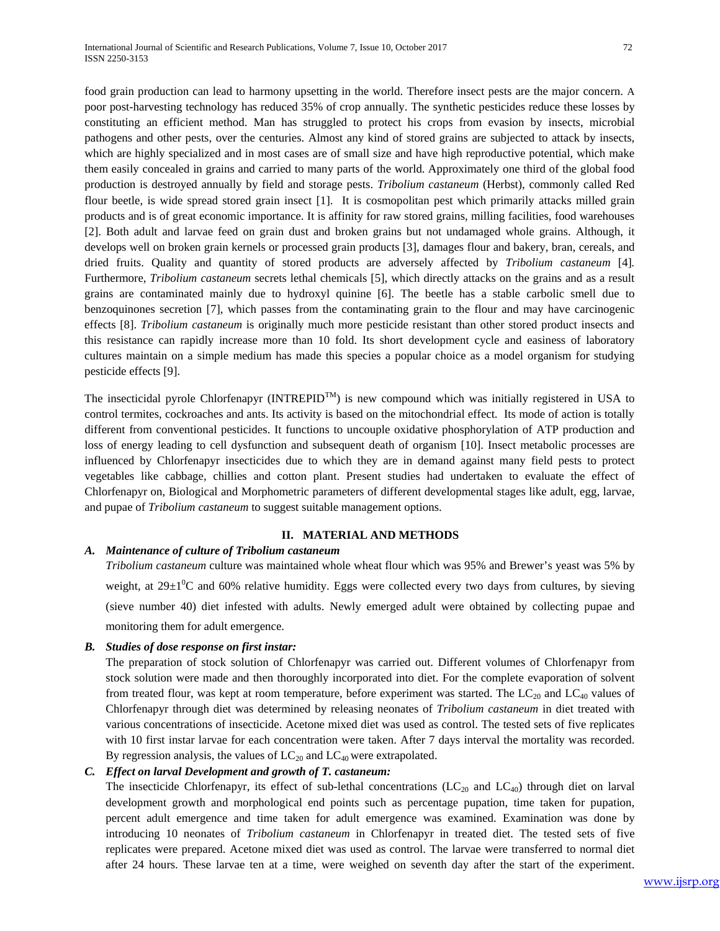food grain production can lead to harmony upsetting in the world. Therefore insect pests are the major concern. A poor post-harvesting technology has reduced 35% of crop annually. The synthetic pesticides reduce these losses by constituting an efficient method. Man has struggled to protect his crops from evasion by insects, microbial pathogens and other pests, over the centuries. Almost any kind of stored grains are subjected to attack by insects, which are highly specialized and in most cases are of small size and have high reproductive potential, which make them easily concealed in grains and carried to many parts of the world. Approximately one third of the global food production is destroyed annually by field and storage pests. *Tribolium castaneum* (Herbst), commonly called Red flour beetle, is wide spread stored grain insect [1]. It is cosmopolitan pest which primarily attacks milled grain products and is of great economic importance. It is affinity for raw stored grains, milling facilities, food warehouses [2]. Both adult and larvae feed on grain dust and broken grains but not undamaged whole grains. Although, it develops well on broken grain kernels or processed grain products [3], damages flour and bakery, bran, cereals, and dried fruits. Quality and quantity of stored products are adversely affected by *Tribolium castaneum* [4]*.* Furthermore, *Tribolium castaneum* secrets lethal chemicals [5], which directly attacks on the grains and as a result grains are contaminated mainly due to hydroxyl quinine [6]. The beetle has a stable carbolic smell due to benzoquinones secretion [7], which passes from the contaminating grain to the flour and may have carcinogenic effects [8]. *Tribolium castaneum* is originally much more pesticide resistant than other stored product insects and this resistance can rapidly increase more than 10 fold. Its short development cycle and easiness of laboratory cultures maintain on a simple medium has made this species a popular choice as a model organism for studying pesticide effects [9].

The insecticidal pyrole Chlorfenapyr (INTREPID<sup>TM</sup>) is new compound which was initially registered in USA to control termites, cockroaches and ants. Its activity is based on the mitochondrial effect. Its mode of action is totally different from conventional pesticides. It functions to uncouple oxidative phosphorylation of ATP production and loss of energy leading to cell dysfunction and subsequent death of organism [10]. Insect metabolic processes are influenced by Chlorfenapyr insecticides due to which they are in demand against many field pests to protect vegetables like cabbage, chillies and cotton plant. Present studies had undertaken to evaluate the effect of Chlorfenapyr on, Biological and Morphometric parameters of different developmental stages like adult, egg, larvae, and pupae of *Tribolium castaneum* to suggest suitable management options.

#### **II. MATERIAL AND METHODS**

#### *A. Maintenance of culture of Tribolium castaneum*

*Tribolium castaneum* culture was maintained whole wheat flour which was 95% and Brewer's yeast was 5% by weight, at  $29\pm1\textsuperscript{0}$ C and 60% relative humidity. Eggs were collected every two days from cultures, by sieving (sieve number 40) diet infested with adults. Newly emerged adult were obtained by collecting pupae and monitoring them for adult emergence.

#### *B. Studies of dose response on first instar:*

The preparation of stock solution of Chlorfenapyr was carried out. Different volumes of Chlorfenapyr from stock solution were made and then thoroughly incorporated into diet. For the complete evaporation of solvent from treated flour, was kept at room temperature, before experiment was started. The  $LC_{20}$  and  $LC_{40}$  values of Chlorfenapyr through diet was determined by releasing neonates of *Tribolium castaneum* in diet treated with various concentrations of insecticide. Acetone mixed diet was used as control. The tested sets of five replicates with 10 first instar larvae for each concentration were taken. After 7 days interval the mortality was recorded. By regression analysis, the values of  $LC_{20}$  and  $LC_{40}$  were extrapolated.

#### *C. Effect on larval Development and growth of T. castaneum:*

The insecticide Chlorfenapyr, its effect of sub-lethal concentrations  $(LC_{20}$  and  $LC_{40})$  through diet on larval development growth and morphological end points such as percentage pupation, time taken for pupation, percent adult emergence and time taken for adult emergence was examined. Examination was done by introducing 10 neonates of *Tribolium castaneum* in Chlorfenapyr in treated diet. The tested sets of five replicates were prepared. Acetone mixed diet was used as control. The larvae were transferred to normal diet after 24 hours. These larvae ten at a time, were weighed on seventh day after the start of the experiment.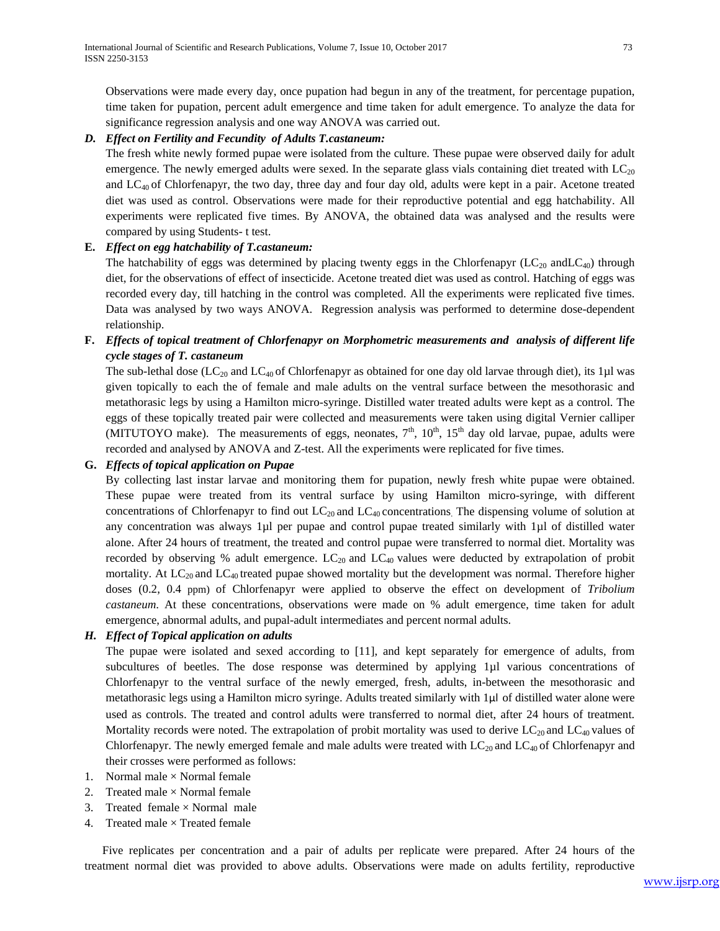Observations were made every day, once pupation had begun in any of the treatment, for percentage pupation, time taken for pupation, percent adult emergence and time taken for adult emergence. To analyze the data for significance regression analysis and one way ANOVA was carried out.

## *D. Effect on Fertility and Fecundity of Adults T.castaneum:*

The fresh white newly formed pupae were isolated from the culture. These pupae were observed daily for adult emergence. The newly emerged adults were sexed. In the separate glass vials containing diet treated with  $LC_{20}$ and  $LC_{40}$  of Chlorfenapyr, the two day, three day and four day old, adults were kept in a pair. Acetone treated diet was used as control. Observations were made for their reproductive potential and egg hatchability. All experiments were replicated five times. By ANOVA, the obtained data was analysed and the results were compared by using Students- t test.

## **E.** *Effect on egg hatchability of T.castaneum:*

The hatchability of eggs was determined by placing twenty eggs in the Chlorfenapyr ( $LC_{20}$  and  $LC_{40}$ ) through diet, for the observations of effect of insecticide. Acetone treated diet was used as control. Hatching of eggs was recorded every day, till hatching in the control was completed. All the experiments were replicated five times. Data was analysed by two ways ANOVA. Regression analysis was performed to determine dose-dependent relationship.

# **F.** *Effects of topical treatment of Chlorfenapyr on Morphometric measurements and analysis of different life cycle stages of T. castaneum*

The sub-lethal dose (LC<sub>20</sub> and LC<sub>40</sub> of Chlorfenapyr as obtained for one day old larvae through diet), its 1µl was given topically to each the of female and male adults on the ventral surface between the mesothorasic and metathorasic legs by using a Hamilton micro-syringe. Distilled water treated adults were kept as a control. The eggs of these topically treated pair were collected and measurements were taken using digital Vernier calliper (MITUTOYO make). The measurements of eggs, neonates,  $7<sup>th</sup>$ ,  $10<sup>th</sup>$ ,  $15<sup>th</sup>$  day old larvae, pupae, adults were recorded and analysed by ANOVA and Z-test. All the experiments were replicated for five times.

## **G.** *Effects of topical application on Pupae*

By collecting last instar larvae and monitoring them for pupation, newly fresh white pupae were obtained. These pupae were treated from its ventral surface by using Hamilton micro-syringe, with different concentrations of Chlorfenapyr to find out  $LC_{20}$  and  $LC_{40}$  concentrations. The dispensing volume of solution at any concentration was always 1µl per pupae and control pupae treated similarly with 1µl of distilled water alone. After 24 hours of treatment, the treated and control pupae were transferred to normal diet. Mortality was recorded by observing % adult emergence.  $LC_{20}$  and  $LC_{40}$  values were deducted by extrapolation of probit mortality. At  $LC_{20}$  and  $LC_{40}$  treated pupae showed mortality but the development was normal. Therefore higher doses (0.2, 0.4 ppm) of Chlorfenapyr were applied to observe the effect on development of *Tribolium castaneum*. At these concentrations, observations were made on % adult emergence, time taken for adult emergence, abnormal adults, and pupal-adult intermediates and percent normal adults.

## *H. Effect of Topical application on adults*

The pupae were isolated and sexed according to [11], and kept separately for emergence of adults, from subcultures of beetles. The dose response was determined by applying 1µl various concentrations of Chlorfenapyr to the ventral surface of the newly emerged, fresh, adults, in-between the mesothorasic and metathorasic legs using a Hamilton micro syringe. Adults treated similarly with 1µl of distilled water alone were used as controls. The treated and control adults were transferred to normal diet, after 24 hours of treatment. Mortality records were noted. The extrapolation of probit mortality was used to derive  $LC_{20}$  and  $LC_{40}$  values of Chlorfenapyr. The newly emerged female and male adults were treated with  $LC_{20}$  and  $LC_{40}$  of Chlorfenapyr and their crosses were performed as follows:

- 1. Normal male  $\times$  Normal female
- 2. Treated male  $\times$  Normal female
- 3. Treated female  $\times$  Normal male
- 4. Treated male  $\times$  Treated female

 Five replicates per concentration and a pair of adults per replicate were prepared. After 24 hours of the treatment normal diet was provided to above adults. Observations were made on adults fertility, reproductive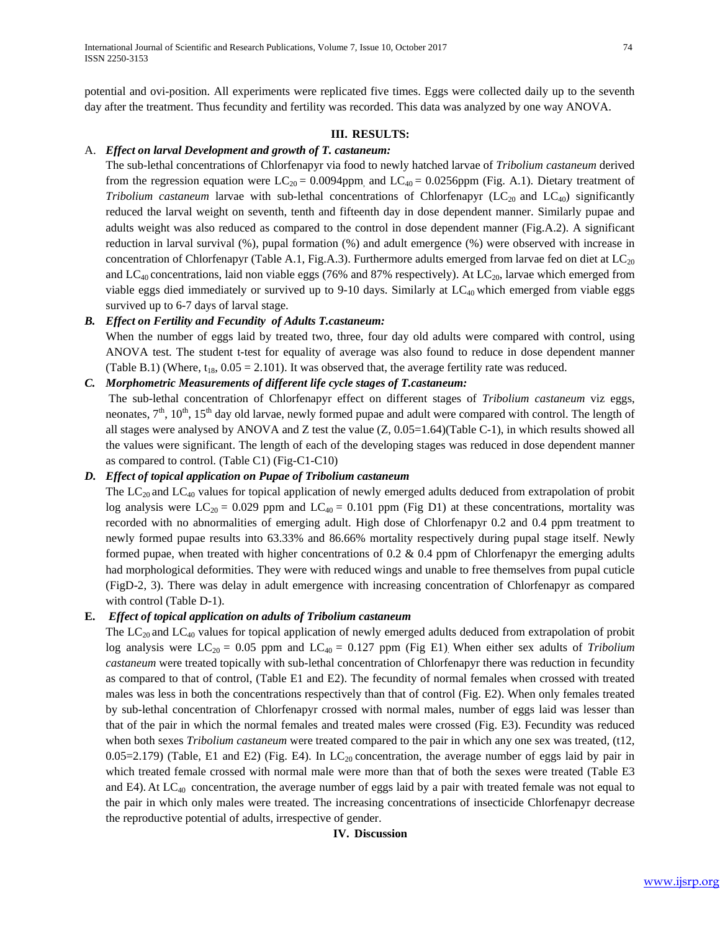potential and ovi-position. All experiments were replicated five times. Eggs were collected daily up to the seventh day after the treatment. Thus fecundity and fertility was recorded. This data was analyzed by one way ANOVA.

#### **III. RESULTS:**

#### A. *Effect on larval Development and growth of T. castaneum:*

The sub-lethal concentrations of Chlorfenapyr via food to newly hatched larvae of *Tribolium castaneum* derived from the regression equation were  $LC_{20} = 0.0094$ ppm and  $LC_{40} = 0.0256$ ppm (Fig. A.1). Dietary treatment of *Tribolium castaneum* larvae with sub-lethal concentrations of Chlorfenapyr ( $LC_{20}$  and  $LC_{40}$ ) significantly reduced the larval weight on seventh, tenth and fifteenth day in dose dependent manner. Similarly pupae and adults weight was also reduced as compared to the control in dose dependent manner (Fig.A.2). A significant reduction in larval survival (%), pupal formation (%) and adult emergence (%) were observed with increase in concentration of Chlorfenapyr (Table A.1, Fig.A.3). Furthermore adults emerged from larvae fed on diet at  $LC_{20}$ and  $LC_{40}$  concentrations, laid non viable eggs (76% and 87% respectively). At  $LC_{20}$ , larvae which emerged from viable eggs died immediately or survived up to 9-10 days. Similarly at  $LC_{40}$  which emerged from viable eggs survived up to 6-7 days of larval stage.

#### *B. Effect on Fertility and Fecundity of Adults T.castaneum:*

When the number of eggs laid by treated two, three, four day old adults were compared with control, using ANOVA test. The student t-test for equality of average was also found to reduce in dose dependent manner (Table B.1) (Where,  $t_{18}$ , 0.05 = 2.101). It was observed that, the average fertility rate was reduced.

#### *C. Morphometric Measurements of different life cycle stages of T.castaneum:*

The sub-lethal concentration of Chlorfenapyr effect on different stages of *Tribolium castaneum* viz eggs, neonates,  $7<sup>th</sup>$ ,  $10<sup>th</sup>$ ,  $15<sup>th</sup>$  day old larvae, newly formed pupae and adult were compared with control. The length of all stages were analysed by ANOVA and Z test the value  $(Z, 0.05=1.64)$  (Table C-1), in which results showed all the values were significant. The length of each of the developing stages was reduced in dose dependent manner as compared to control. (Table C1) (Fig-C1-C10)

#### *D. Effect of topical application on Pupae of Tribolium castaneum*

The  $LC_{20}$  and  $LC_{40}$  values for topical application of newly emerged adults deduced from extrapolation of probit log analysis were  $LC_{20} = 0.029$  ppm and  $LC_{40} = 0.101$  ppm (Fig D1) at these concentrations, mortality was recorded with no abnormalities of emerging adult. High dose of Chlorfenapyr 0.2 and 0.4 ppm treatment to newly formed pupae results into 63.33% and 86.66% mortality respectively during pupal stage itself. Newly formed pupae, when treated with higher concentrations of 0.2  $\&$  0.4 ppm of Chlorfenapyr the emerging adults had morphological deformities. They were with reduced wings and unable to free themselves from pupal cuticle (FigD-2, 3). There was delay in adult emergence with increasing concentration of Chlorfenapyr as compared with control (Table D-1).

#### **E.** *Effect of topical application on adults of Tribolium castaneum*

The  $LC_{20}$  and  $LC_{40}$  values for topical application of newly emerged adults deduced from extrapolation of probit log analysis were  $LC_{20} = 0.05$  ppm and  $LC_{40} = 0.127$  ppm (Fig E1). When either sex adults of *Tribolium castaneum* were treated topically with sub-lethal concentration of Chlorfenapyr there was reduction in fecundity as compared to that of control, (Table E1 and E2). The fecundity of normal females when crossed with treated males was less in both the concentrations respectively than that of control (Fig. E2). When only females treated by sub-lethal concentration of Chlorfenapyr crossed with normal males, number of eggs laid was lesser than that of the pair in which the normal females and treated males were crossed (Fig. E3). Fecundity was reduced when both sexes *Tribolium castaneum* were treated compared to the pair in which any one sex was treated, (t12,  $0.05=2.179$ ) (Table, E1 and E2) (Fig. E4). In LC<sub>20</sub> concentration, the average number of eggs laid by pair in which treated female crossed with normal male were more than that of both the sexes were treated (Table E3 and E4). At  $LC_{40}$  concentration, the average number of eggs laid by a pair with treated female was not equal to the pair in which only males were treated. The increasing concentrations of insecticide Chlorfenapyr decrease the reproductive potential of adults, irrespective of gender.

### **IV. Discussion**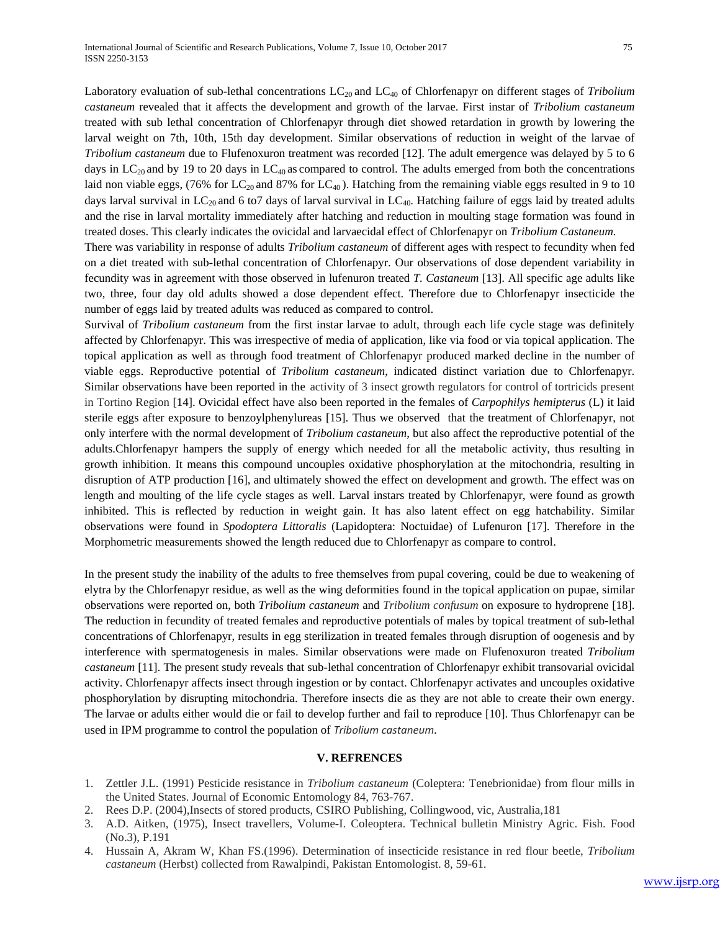Laboratory evaluation of sub-lethal concentrations LC<sub>20</sub> and LC<sub>40</sub> of Chlorfenapyr on different stages of *Tribolium castaneum* revealed that it affects the development and growth of the larvae. First instar of *Tribolium castaneum* treated with sub lethal concentration of Chlorfenapyr through diet showed retardation in growth by lowering the larval weight on 7th, 10th, 15th day development. Similar observations of reduction in weight of the larvae of *Tribolium castaneum* due to Flufenoxuron treatment was recorded [12]. The adult emergence was delayed by 5 to 6 days in  $LC_{20}$  and by 19 to 20 days in  $LC_{40}$  as compared to control. The adults emerged from both the concentrations laid non viable eggs, (76% for  $LC_{20}$  and 87% for  $LC_{40}$ ). Hatching from the remaining viable eggs resulted in 9 to 10 days larval survival in  $LC_{20}$  and 6 to7 days of larval survival in  $LC_{40}$ . Hatching failure of eggs laid by treated adults and the rise in larval mortality immediately after hatching and reduction in moulting stage formation was found in treated doses. This clearly indicates the ovicidal and larvaecidal effect of Chlorfenapyr on *Tribolium Castaneum.*

There was variability in response of adults *Tribolium castaneum* of different ages with respect to fecundity when fed on a diet treated with sub-lethal concentration of Chlorfenapyr. Our observations of dose dependent variability in fecundity was in agreement with those observed in lufenuron treated *T. Castaneum* [13]. All specific age adults like two, three, four day old adults showed a dose dependent effect. Therefore due to Chlorfenapyr insecticide the number of eggs laid by treated adults was reduced as compared to control.

Survival of *Tribolium castaneum* from the first instar larvae to adult, through each life cycle stage was definitely affected by Chlorfenapyr. This was irrespective of media of application, like via food or via topical application. The topical application as well as through food treatment of Chlorfenapyr produced marked decline in the number of viable eggs. Reproductive potential of *Tribolium castaneum*, indicated distinct variation due to Chlorfenapyr. Similar observations have been reported in the activity of 3 insect growth regulators for control of tortricids present in Tortino Region [14]. Ovicidal effect have also been reported in the females of *Carpophilys hemipterus* (L) it laid sterile eggs after exposure to benzoylphenylureas [15]. Thus we observed that the treatment of Chlorfenapyr, not only interfere with the normal development of *Tribolium castaneum*, but also affect the reproductive potential of the adults.Chlorfenapyr hampers the supply of energy which needed for all the metabolic activity, thus resulting in growth inhibition. It means this compound uncouples oxidative phosphorylation at the mitochondria, resulting in disruption of ATP production [16], and ultimately showed the effect on development and growth. The effect was on length and moulting of the life cycle stages as well. Larval instars treated by Chlorfenapyr, were found as growth inhibited. This is reflected by reduction in weight gain. It has also latent effect on egg hatchability. Similar observations were found in *Spodoptera Littoralis* (Lapidoptera: Noctuidae) of Lufenuron [17]. Therefore in the Morphometric measurements showed the length reduced due to Chlorfenapyr as compare to control.

In the present study the inability of the adults to free themselves from pupal covering, could be due to weakening of elytra by the Chlorfenapyr residue, as well as the wing deformities found in the topical application on pupae, similar observations were reported on, both *Tribolium castaneum* and *Tribolium confusum* on exposure to hydroprene [18]. The reduction in fecundity of treated females and reproductive potentials of males by topical treatment of sub-lethal concentrations of Chlorfenapyr, results in egg sterilization in treated females through disruption of oogenesis and by interference with spermatogenesis in males. Similar observations were made on Flufenoxuron treated *Tribolium castaneum* [11]. The present study reveals that sub-lethal concentration of Chlorfenapyr exhibit transovarial ovicidal activity. Chlorfenapyr affects insect through ingestion or by contact. Chlorfenapyr activates and uncouples oxidative phosphorylation by disrupting mitochondria. Therefore insects die as they are not able to create their own energy. The larvae or adults either would die or fail to develop further and fail to reproduce [10]. Thus Chlorfenapyr can be used in IPM programme to control the population of *Tribolium castaneum*.

#### **V. REFRENCES**

- 1. Zettler J.L. (1991) Pesticide resistance in *Tribolium castaneum* (Coleptera: Tenebrionidae) from flour mills in the United States. Journal of Economic Entomology 84, 763-767.
- 2. Rees D.P. (2004),Insects of stored products, CSIRO Publishing, Collingwood, vic, Australia,181
- 3. A.D. Aitken, (1975), Insect travellers, Volume-I. Coleoptera. Technical bulletin Ministry Agric. Fish. Food (No.3), P.191
- 4. Hussain A, Akram W, Khan FS.(1996). Determination of insecticide resistance in red flour beetle, *Tribolium castaneum* (Herbst) collected from Rawalpindi, Pakistan Entomologist. 8, 59-61.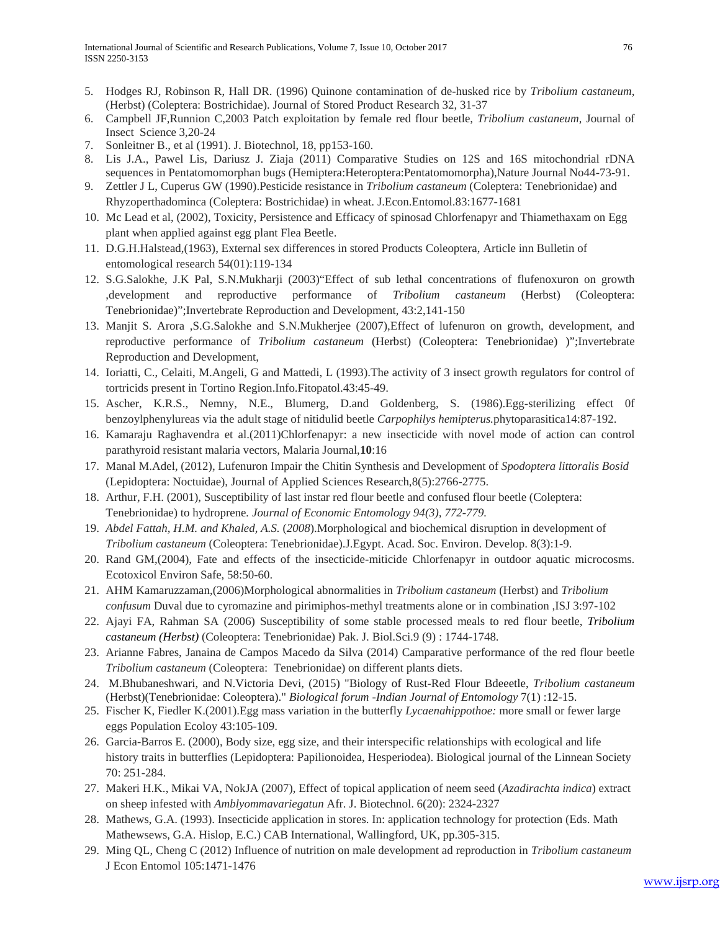- 5. Hodges RJ, Robinson R, Hall DR. (1996) Quinone contamination of de-husked rice by *Tribolium castaneum*, (Herbst) (Coleptera: Bostrichidae). Journal of Stored Product Research 32, 31-37
- 6. Campbell JF,Runnion C,2003 Patch exploitation by female red flour beetle, *Tribolium castaneum*, Journal of Insect Science 3,20-24
- 7. Sonleitner B., et al (1991). J. Biotechnol, 18, pp153-160.
- 8. Lis J.A., Pawel Lis, Dariusz J. Ziaja (2011) Comparative Studies on 12S and 16S mitochondrial rDNA sequences in Pentatomomorphan bugs (Hemiptera:Heteroptera:Pentatomomorpha),Nature Journal No44-73-91.
- 9. Zettler J L, Cuperus GW (1990).Pesticide resistance in *Tribolium castaneum* (Coleptera: Tenebrionidae) and Rhyzoperthadominca (Coleptera: Bostrichidae) in wheat. J.Econ.Entomol.83:1677-1681
- 10. Mc Lead et al, (2002), Toxicity, Persistence and Efficacy of spinosad Chlorfenapyr and Thiamethaxam on Egg plant when applied against egg plant Flea Beetle.
- 11. D.G.H.Halstead,(1963), External sex differences in stored Products Coleoptera, Article inn Bulletin of entomological research 54(01):119-134
- 12. S.G.Salokhe, J.K Pal, S.N.Mukharji (2003)"Effect of sub lethal concentrations of flufenoxuron on growth ,development and reproductive performance of *Tribolium castaneum* (Herbst) (Coleoptera: Tenebrionidae)";Invertebrate Reproduction and Development, 43:2,141-150
- 13. Manjit S. Arora ,S.G.Salokhe and S.N.Mukherjee (2007),Effect of lufenuron on growth, development, and reproductive performance of *Tribolium castaneum* (Herbst) (Coleoptera: Tenebrionidae) )";Invertebrate Reproduction and Development,
- 14. Ioriatti, C., Celaiti, M.Angeli, G and Mattedi, L (1993).The activity of 3 insect growth regulators for control of tortricids present in Tortino Region.Info.Fitopatol.43:45-49.
- 15. Ascher, K.R.S., Nemny, N.E., Blumerg, D.and Goldenberg, S. (1986).Egg-sterilizing effect 0f benzoylphenylureas via the adult stage of nitidulid beetle *Carpophilys hemipterus.*phytoparasitica14:87-192.
- 16. Kamaraju Raghavendra et al.(2011)Chlorfenapyr: a new insecticide with novel mode of action can control parathyroid resistant malaria vectors, Malaria Journal,**10**:16
- 17. Manal M.Adel, (2012), Lufenuron Impair the Chitin Synthesis and Development of *Spodoptera littoralis Bosid*  (Lepidoptera: Noctuidae), Journal of Applied Sciences Research,8(5):2766-2775.
- 18. Arthur, F.H. (2001), Susceptibility of last instar red flour beetle and confused flour beetle (Coleptera: Tenebrionidae) to hydroprene*. Journal of Economic Entomology 94(3), 772-779.*
- 19. *Abdel Fattah, H.M. and Khaled, A.S.* (*2008*).Morphological and biochemical disruption in development of *Tribolium castaneum* (Coleoptera: Tenebrionidae).J.Egypt. Acad. Soc. Environ. Develop. 8(3):1-9.
- 20. Rand GM,(2004), Fate and effects of the insecticide-miticide Chlorfenapyr in outdoor aquatic microcosms. Ecotoxicol Environ Safe, 58:50-60.
- 21. AHM Kamaruzzaman,(2006)Morphological abnormalities in *Tribolium castaneum* (Herbst) and *Tribolium confusum* Duval due to cyromazine and pirimiphos-methyl treatments alone or in combination ,ISJ 3:97-102
- 22. Ajayi FA, Rahman SA (2006) Susceptibility of some stable processed meals to red flour beetle, *Tribolium castaneum (Herbst)* (Coleoptera: Tenebrionidae) Pak. J. Biol.Sci.9 (9) : 1744-1748.
- 23. Arianne Fabres, Janaina de Campos Macedo da Silva (2014) Camparative performance of the red flour beetle *Tribolium castaneum* (Coleoptera: Tenebrionidae) on different plants diets.
- 24. M.Bhubaneshwari, and N.Victoria Devi, (2015) "Biology of Rust-Red Flour Bdeeetle, *Tribolium castaneum* (Herbst)(Tenebrionidae: Coleoptera)." *Biological forum* -*Indian Journal of Entomology* 7(1) :12-15.
- 25. Fischer K, Fiedler K.(2001).Egg mass variation in the butterfly *Lycaenahippothoe:* more small or fewer large eggs Population Ecoloy 43:105-109.
- 26. Garcia-Barros E. (2000), Body size, egg size, and their interspecific relationships with ecological and life history traits in butterflies (Lepidoptera: Papilionoidea, Hesperiodea). Biological journal of the Linnean Society 70: 251-284.
- 27. Makeri H.K., Mikai VA, NokJA (2007), Effect of topical application of neem seed (*Azadirachta indica*) extract on sheep infested with *Amblyommavariegatun* Afr. J. Biotechnol. 6(20): 2324-2327
- 28. Mathews, G.A. (1993). Insecticide application in stores. In: application technology for protection (Eds. Math Mathewsews, G.A. Hislop, E.C.) CAB International, Wallingford, UK, pp.305-315.
- 29. Ming QL, Cheng C (2012) Influence of nutrition on male development ad reproduction in *Tribolium castaneum* J Econ Entomol 105:1471-1476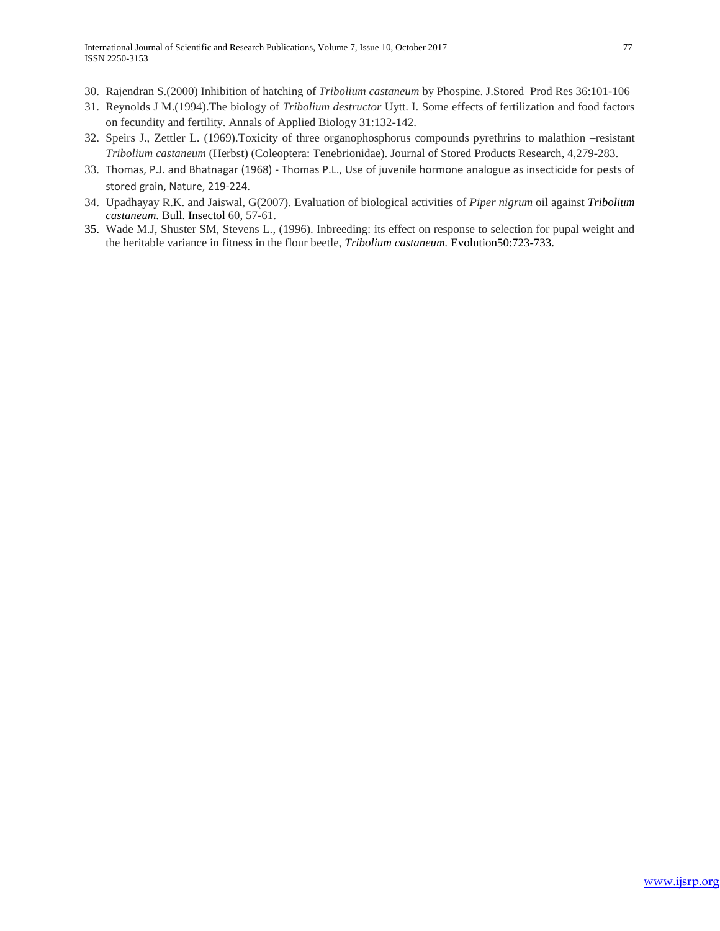- 30. Rajendran S.(2000) Inhibition of hatching of *Tribolium castaneum* by Phospine. J.Stored Prod Res 36:101-106
- 31. Reynolds J M.(1994).The biology of *Tribolium destructor* Uytt. I. Some effects of fertilization and food factors on fecundity and fertility. Annals of Applied Biology 31:132-142.
- 32. Speirs J., Zettler L. (1969).Toxicity of three organophosphorus compounds pyrethrins to malathion –resistant *Tribolium castaneum* (Herbst) (Coleoptera: Tenebrionidae). Journal of Stored Products Research, 4,279-283.
- 33. Thomas, P.J. and Bhatnagar (1968) Thomas P.L., Use of juvenile hormone analogue as insecticide for pests of stored grain, Nature, 219-224.
- 34. Upadhayay R.K. and Jaiswal, G(2007). Evaluation of biological activities of *Piper nigrum* oil against *Tribolium castaneum*. Bull. Insectol 60, 57-61.
- 35. Wade M.J, Shuster SM, Stevens L., (1996). Inbreeding: its effect on response to selection for pupal weight and the heritable variance in fitness in the flour beetle, *Tribolium castaneum.* Evolution50:723-733.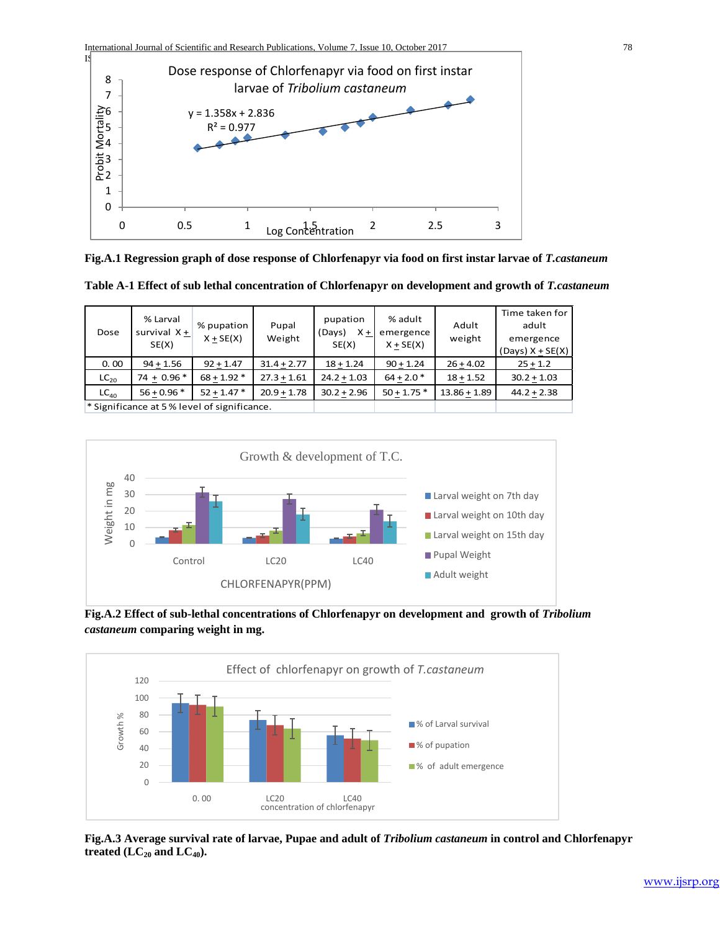

**Fig.A.1 Regression graph of dose response of Chlorfenapyr via food on first instar larvae of** *T.castaneum* 

| Table A-1 Effect of sub lethal concentration of Chlorfenapyr on development and growth of T.castaneum |  |  |
|-------------------------------------------------------------------------------------------------------|--|--|
|                                                                                                       |  |  |

| Dose                                        | % Larval<br>survival $X +$<br>SE(X) | % pupation<br>$X + SE(X)$ | Pupal<br>Weight | pupation<br>(Days)<br>$X +$<br>SE(X) | % adult<br>emergence<br>$X + SE(X)$ | Adult<br>weight | Time taken for<br>adult<br>emergence<br>$(Days) X + SE(X)$ |
|---------------------------------------------|-------------------------------------|---------------------------|-----------------|--------------------------------------|-------------------------------------|-----------------|------------------------------------------------------------|
| 0.00                                        | $94 + 1.56$                         | $92 + 1.47$               | $31.4 + 2.77$   | $18 + 1.24$                          | $90 + 1.24$                         | $26 + 4.02$     | $25 + 1.2$                                                 |
| $LC_{20}$                                   | $74 + 0.96*$                        | $68 + 1.92$ *             | $27.3 + 1.61$   | $24.2 + 1.03$                        | $64 + 2.0*$                         | $18 + 1.52$     | $30.2 + 1.03$                                              |
| $LC_{40}$                                   | $56 + 0.96$ *                       | $52 + 1.47$ *             | $20.9 + 1.78$   | $30.2 + 2.96$                        | $50 + 1.75$ *                       | $13.86 + 1.89$  | $44.2 + 2.38$                                              |
| * Significance at 5% level of significance. |                                     |                           |                 |                                      |                                     |                 |                                                            |







**Fig.A.3 Average survival rate of larvae, Pupae and adult of** *Tribolium castaneum* **in control and Chlorfenapyr**  treated  $(LC_{20}$  and  $LC_{40})$ .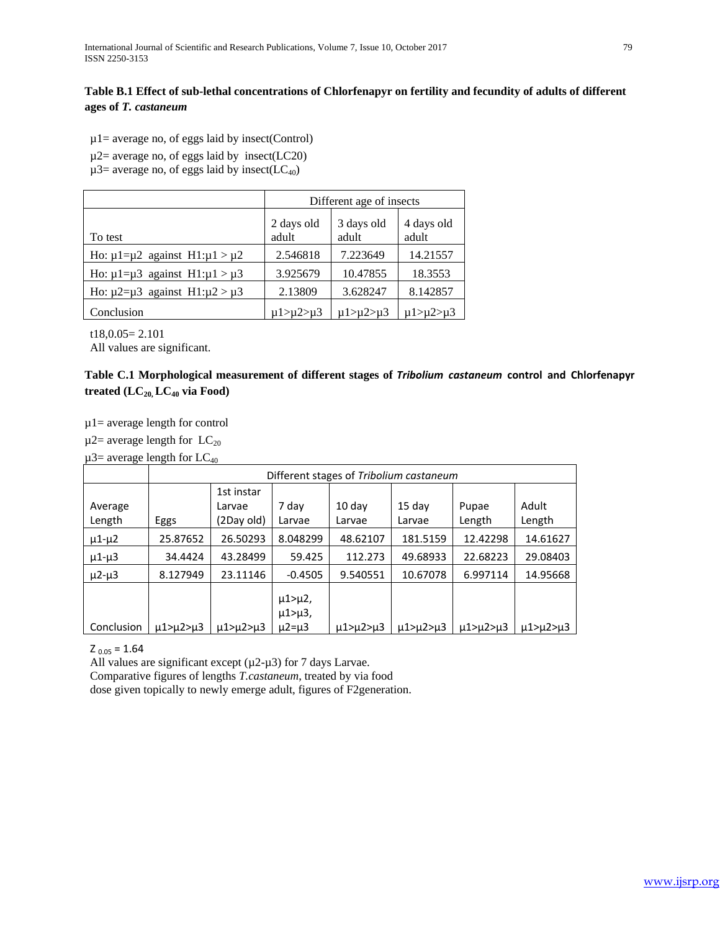# **Table B.1 Effect of sub-lethal concentrations of Chlorfenapyr on fertility and fecundity of adults of different ages of** *T. castaneum*

 $\mu$ 1= average no, of eggs laid by insect(Control)

 $\mu$ 2= average no, of eggs laid by insect(LC20)

 $\mu$ 3= average no, of eggs laid by insect(LC<sub>40</sub>)

|                                                    | Different age of insects  |                           |                           |  |
|----------------------------------------------------|---------------------------|---------------------------|---------------------------|--|
| To test                                            | 2 days old<br>adult       | 3 days old<br>adult       | 4 days old<br>adult       |  |
| Ho: $\mu$ 1= $\mu$ 2 against H1: $\mu$ 1 > $\mu$ 2 | 2.546818                  | 7.223649                  | 14.21557                  |  |
| Ho: $\mu$ 1= $\mu$ 3 against H1: $\mu$ 1 > $\mu$ 3 | 3.925679                  | 10.47855                  | 18.3553                   |  |
| Ho: $\mu$ 2= $\mu$ 3 against H1: $\mu$ 2 > $\mu$ 3 | 2.13809                   | 3.628247                  | 8.142857                  |  |
| Conclusion                                         | $\mu$ 1> $\mu$ 2> $\mu$ 3 | $\mu$ 1> $\mu$ 2> $\mu$ 3 | $\mu$ 1> $\mu$ 2> $\mu$ 3 |  |

t18,0.05= 2.101

All values are significant.

**Table C.1 Morphological measurement of different stages of** *Tribolium castaneum* **control and Chlorfenapyr treated (LC20, LC40 via Food)**

 $\mu$ 1= average length for control

 $\mu$ 2= average length for LC<sub>20</sub>

 $\mu$ 3= average length for LC<sub>40</sub>

|                  | Different stages of Tribolium castaneum |            |                                                            |                           |                           |                           |                           |
|------------------|-----------------------------------------|------------|------------------------------------------------------------|---------------------------|---------------------------|---------------------------|---------------------------|
|                  |                                         | 1st instar |                                                            |                           |                           |                           |                           |
| Average          |                                         | Larvae     | 7 day                                                      | $10$ day                  | $15$ day                  | Pupae                     | Adult                     |
| Length           | Eggs                                    | (2Day old) | Larvae                                                     | Larvae                    | Larvae                    | Length                    | Length                    |
| $\mu$ 1- $\mu$ 2 | 25.87652                                | 26.50293   | 8.048299                                                   | 48.62107                  | 181.5159                  | 12.42298                  | 14.61627                  |
| $\mu$ 1- $\mu$ 3 | 34.4424                                 | 43.28499   | 59.425                                                     | 112.273                   | 49.68933                  | 22.68223                  | 29.08403                  |
| $\mu$ 2- $\mu$ 3 | 8.127949                                | 23.11146   | $-0.4505$                                                  | 9.540551                  | 10.67078                  | 6.997114                  | 14.95668                  |
| Conclusion       | $\mu$ 1> $\mu$ 2> $\mu$ 3               | µ1>µ2>µ3   | $\mu$ 1> $\mu$ 2,<br>$\mu$ 1> $\mu$ 3,<br>$\mu$ 2= $\mu$ 3 | $\mu$ 1> $\mu$ 2> $\mu$ 3 | $\mu$ 1> $\mu$ 2> $\mu$ 3 | $\mu$ 1> $\mu$ 2> $\mu$ 3 | $\mu$ 1> $\mu$ 2> $\mu$ 3 |

 $Z_{0.05} = 1.64$ 

All values are significant except  $(\mu 2-\mu 3)$  for 7 days Larvae.

Comparative figures of lengths *T.castaneum*, treated by via food

dose given topically to newly emerge adult, figures of F2generation.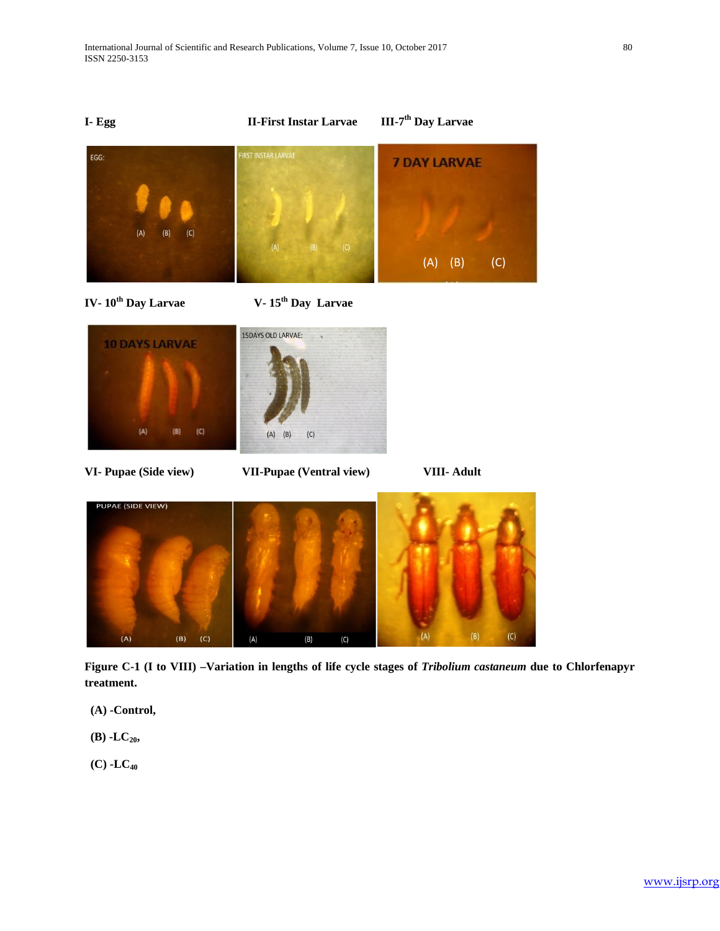





**Figure C-1 (I to VIII) –Variation in lengths of life cycle stages of** *Tribolium castaneum* **due to Chlorfenapyr treatment.**

- **(A) -Control,**
- $(B)$  -LC<sub>20</sub>,
- $(C)$  -LC<sub>40</sub>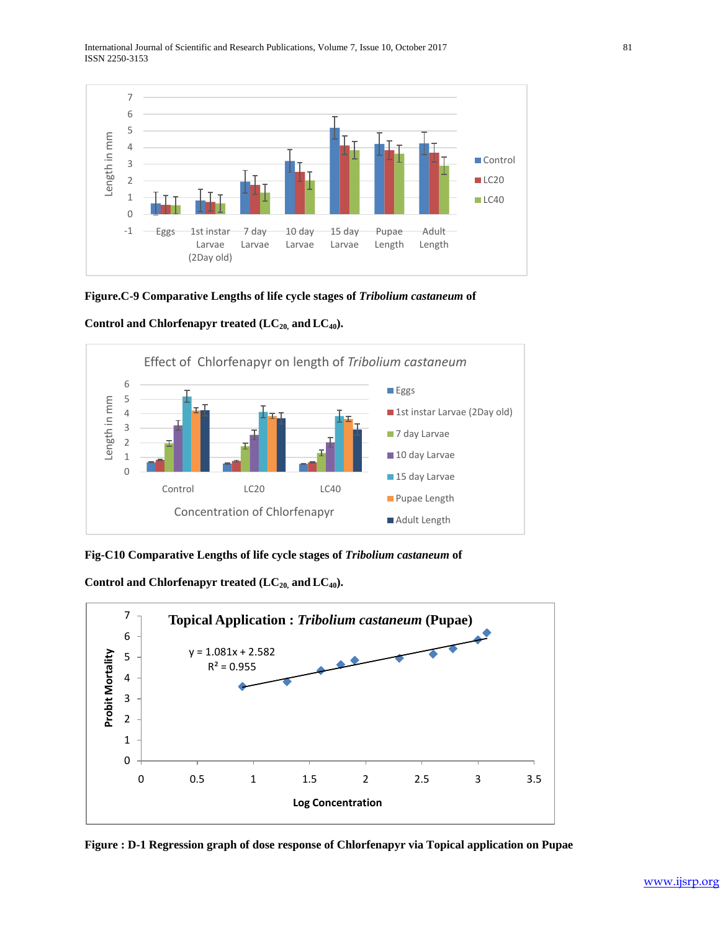International Journal of Scientific and Research Publications, Volume 7, Issue 10, October 2017 81 ISSN 2250-3153



**Figure.C-9 Comparative Lengths of life cycle stages of** *Tribolium castaneum* **of**



Control and Chlorfenapyr treated  $(LC_{20}$ , and  $LC_{40})$ .

**Fig-C10 Comparative Lengths of life cycle stages of** *Tribolium castaneum* **of**

Control and Chlorfenapyr treated (LC<sub>20,</sub> and LC<sub>40</sub>).



**Figure : D-1 Regression graph of dose response of Chlorfenapyr via Topical application on Pupae**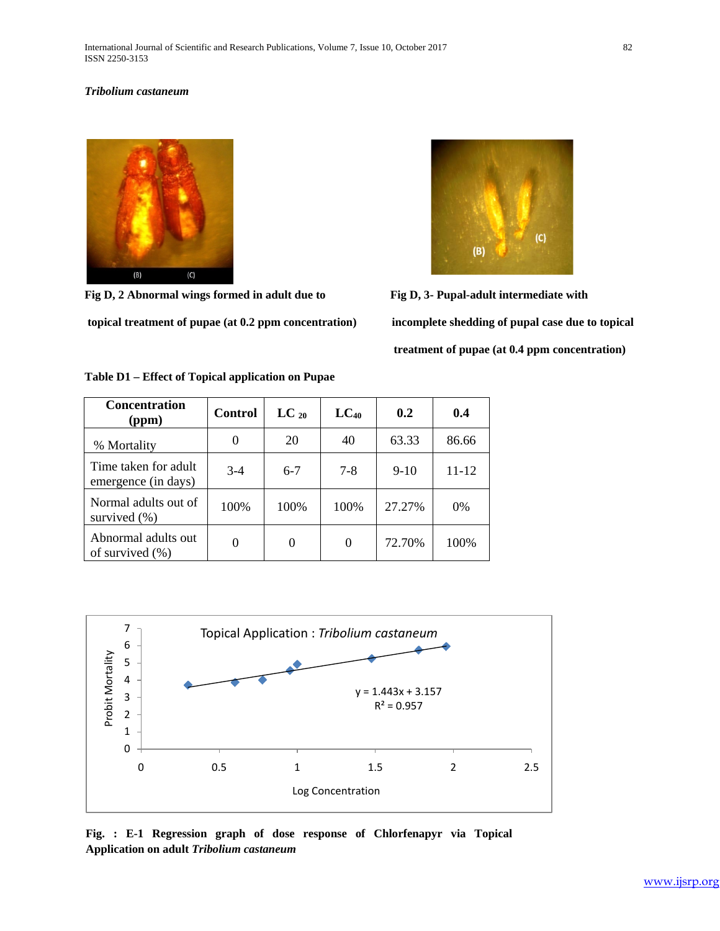# *Tribolium castaneum*



**Fig D, 2 Abnormal wings formed in adult due to Fig D, 3- Pupal-adult intermediate with topical treatment of pupae (at 0.2 ppm concentration) incomplete shedding of pupal case due to topical** 



**treatment of pupae (at 0.4 ppm concentration)** 

| <b>Concentration</b><br>(ppm)               | <b>Control</b> | $LC_{20}$ | $LC_{40}$ | 0.2    | 0.4   |
|---------------------------------------------|----------------|-----------|-----------|--------|-------|
| % Mortality                                 | $_{0}$         | 20        | 40        | 63.33  | 86.66 |
| Time taken for adult<br>emergence (in days) | $3-4$          | $6 - 7$   | $7 - 8$   | $9-10$ | 11-12 |
| Normal adults out of<br>survived $(\%)$     | 100%           | 100%      | 100%      | 27.27% | 0%    |
| Abnormal adults out<br>of survived $(\% )$  |                | 0         | 0         | 72.70% | 100%  |

**Table D1 – Effect of Topical application on Pupae** 



**Fig. : E-1 Regression graph of dose response of Chlorfenapyr via Topical Application on adult** *Tribolium castaneum*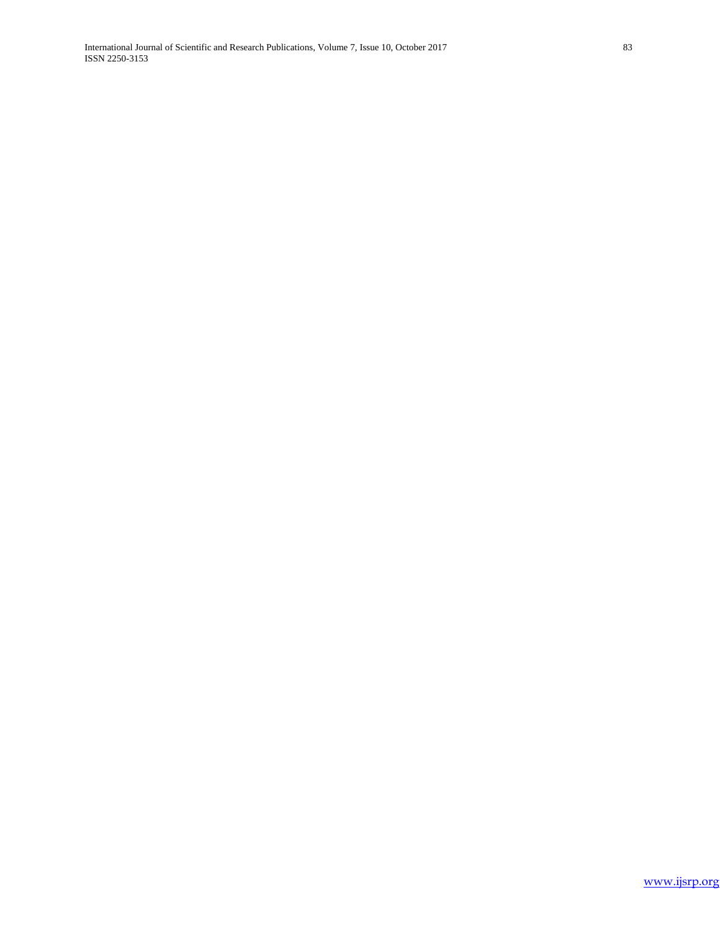International Journal of Scientific and Research Publications, Volume 7, Issue 10, October 2017 83 ISSN 2250-3153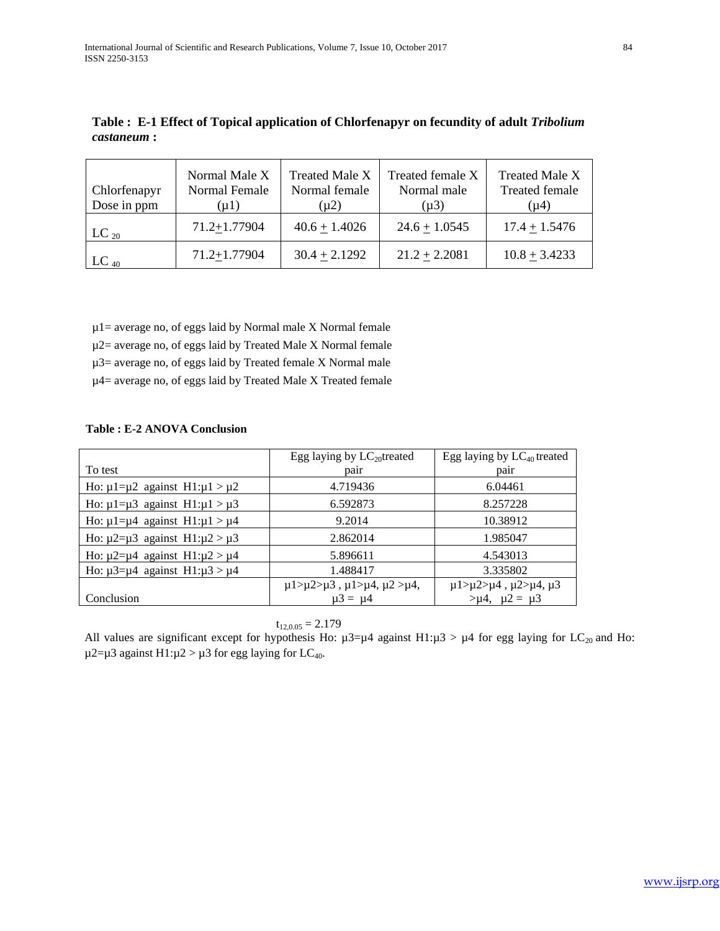| <b>Chlorfenapyr</b><br>Dose in ppm | Normal Male X<br>Normal Female<br>$(\mu 1)$ | <b>Treated Male X</b><br>Normal female<br>$(\mu 2)$ | Treated female X<br>Normal male<br>(u3) | <b>Treated Male X</b><br>Treated female<br>$(\mu 4)$ |
|------------------------------------|---------------------------------------------|-----------------------------------------------------|-----------------------------------------|------------------------------------------------------|
| $LC_{20}$                          | 71.2+1.77904                                | $40.6 + 1.4026$                                     | $24.6 + 1.0545$                         | $17.4 + 1.5476$                                      |
| LC <sub>40</sub>                   | 71.2+1.77904                                | $30.4 + 2.1292$                                     | $21.2 + 2.2081$                         | $10.8 + 3.4233$                                      |

**Table : E-1 Effect of Topical application of Chlorfenapyr on fecundity of adult** *Tribolium castaneum* **:**

 $\mu$ 1= average no, of eggs laid by Normal male X Normal female

µ2= average no, of eggs laid by Treated Male X Normal female

µ3= average no, of eggs laid by Treated female X Normal male

µ4= average no, of eggs laid by Treated Male X Treated female

## **Table : E-2 ANOVA Conclusion**

|                                                    | Egg laying by $LC_{20}$ treated                                | Egg laying by $LC_{40}$ treated                      |
|----------------------------------------------------|----------------------------------------------------------------|------------------------------------------------------|
| To test                                            | pair                                                           | pair                                                 |
| Ho: $\mu$ 1= $\mu$ 2 against H1: $\mu$ 1 > $\mu$ 2 | 4.719436                                                       | 6.04461                                              |
| Ho: $\mu$ 1= $\mu$ 3 against H1: $\mu$ 1 > $\mu$ 3 | 6.592873                                                       | 8.257228                                             |
| Ho: $\mu$ 1= $\mu$ 4 against H1: $\mu$ 1 > $\mu$ 4 | 9.2014                                                         | 10.38912                                             |
| Ho: $\mu$ 2= $\mu$ 3 against H1: $\mu$ 2 > $\mu$ 3 | 2.862014                                                       | 1.985047                                             |
| Ho: $\mu$ 2= $\mu$ 4 against H1: $\mu$ 2 > $\mu$ 4 | 5.896611                                                       | 4.543013                                             |
| Ho: $\mu$ 3= $\mu$ 4 against H1: $\mu$ 3 > $\mu$ 4 | 1.488417                                                       | 3.335802                                             |
|                                                    | $\mu$ 1> $\mu$ 2> $\mu$ 3, $\mu$ 1> $\mu$ 4, $\mu$ 2> $\mu$ 4, | $\mu$ 1> $\mu$ 2> $\mu$ 4, $\mu$ 2> $\mu$ 4, $\mu$ 3 |
| Conclusion                                         | $\mu$ 3 = $\mu$ 4                                              | $> \mu 4$ , $\mu 2 = \mu 3$                          |

 $t_{12,0.05} = 2.179$ 

All values are significant except for hypothesis Ho:  $\mu$ 3= $\mu$ 4 against H1: $\mu$ 3 >  $\mu$ 4 for egg laying for LC<sub>20</sub> and Ho:  $\mu$ 2= $\mu$ 3 against H1: $\mu$ 2 >  $\mu$ 3 for egg laying for LC<sub>40</sub>.